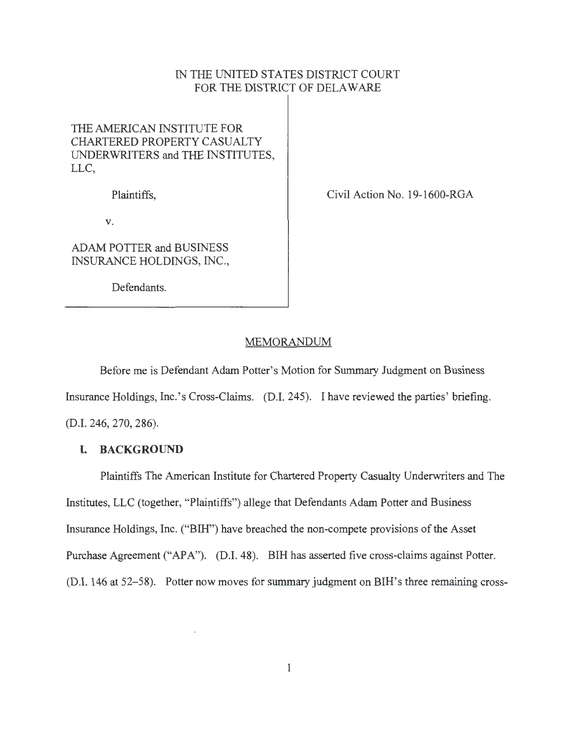# IN THE UNITED STATES DISTRICT COURT FOR THE DISTRICT OF DELAWARE

# THE AMERICAN INSTITUTE FOR CHARTERED PROPERTY CASUALTY UNDERWRITERS and THE INSTITUTES, LLC,

Plaintiffs,

Civil Action No. 19-1600-RGA

V.

ADAM POTTER and BUSINESS INSURANCE HOLDINGS, INC.,

Defendants.

# MEMORANDUM

Before me is Defendant Adam Potter's Motion for Summary Judgment on Business

Insurance Holdings, Inc.'s Cross-Claims. (D.I. 245). I have reviewed the parties' briefing.

(D.I. 246, 270, 286).

### **I. BACKGROUND**

Plaintiffs The American Institute for Chartered Property Casualty Underwriters and The Institutes, LLC (together, "Plaintiffs") allege that Defendants Adam Potter and Business Insurance Holdings, Inc. ("BIH") have breached the non-compete provisions of the Asset Purchase Agreement ("APA"). (D.I. 48). BIH has asserted five cross-claims against Potter. (D.I. 146 at 52-58). Potter now moves for summary judgment on BIH's three remaining cross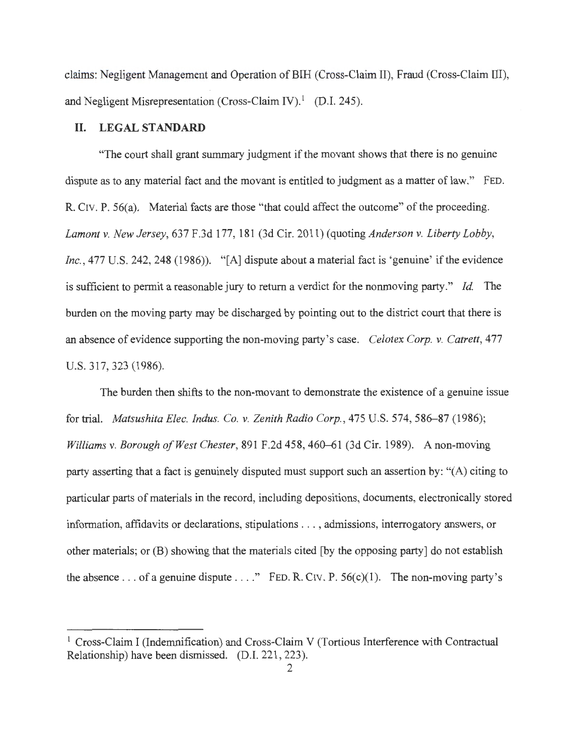claims: Negligent Management and Operation of BIH (Cross-Claim II), Fraud (Cross-Claim III), and Negligent Misrepresentation (Cross-Claim IV).<sup>1</sup> (D.I. 245).

### **II. LEGAL STANDARD**

"The court shall grant summary judgment if the movant shows that there is no genuine dispute as to any material fact and the movant is entitled to judgment as a matter of law." FED. R. CIV. P. 56(a). Material facts are those "that could affect the outcome" of the proceeding. *Lamont v. New Jersey,* 637 F.3d 177, 181 (3d Cir. 2011 ) (quoting *Anderson v. Liberty Lobby, Inc., 477 U.S. 242, 248 (1986)).* "[A] dispute about a material fact is 'genuine' if the evidence is sufficient to permit a reasonable jury to return a verdict for the nonmoving party." *Id.* The burden on the moving party may be discharged by pointing out to the district court that there is an absence of evidence supporting the non-moving party's case. *Celotex Corp. v. Catrett,* 477 U.S. 317, 323 (1986).

The burden then shifts to the non-movant to demonstrate the existence of a genuine issue for trial. *Matsushita Elec. Indus. Co. v. Zenith Radio Corp.*, 475 U.S. 574, 586-87 (1986); *Williams v. Borough of West Chester,* 891 F.2d 458, 460-61 (3d Cir. 1989). A non-moving party asserting that a fact is genuinely disputed must support such an assertion by: "(A) citing to particular parts of materials in the record, including depositions, documents, electronically stored information, affidavits or declarations, stipulations .. . , admissions, interrogatory answers, or other materials; or (B) showing that the materials cited [by the opposing party] do not establish the absence . . . of a genuine dispute . . . ." FED. R. Civ. P.  $56(c)(1)$ . The non-moving party's

<sup>&</sup>lt;sup>1</sup> Cross-Claim I (Indemnification) and Cross-Claim V (Tortious Interference with Contractual Relationship) have been dismissed. (D.I. 221, 223).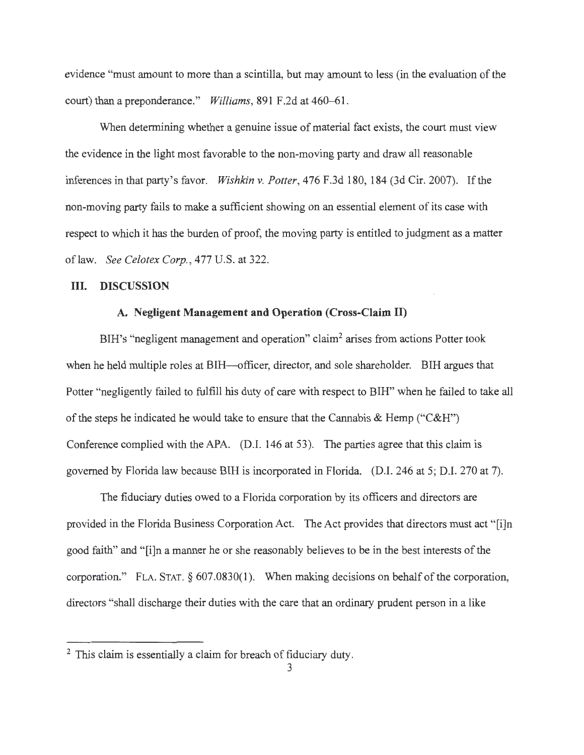evidence "must amount to more than a scintilla, but may amount to less (in the evaluation of the court) than a preponderance." *Williams,* 891 F.2d at 460-61.

When determining whether a genuine issue of material fact exists, the court must view the evidence in the light most favorable to the non-moving party and draw all reasonable inferences in that party's favor. *Wishkin v. Potter,* 476 F.3d 180, 184 (3d Cir. 2007). If the non-moving party fails to make a sufficient showing on an essential element of its case with respect to which it has the burden of proof, the moving party is entitled to judgment as a matter oflaw. *See Celotex Corp.,* 477 U.S. at 322.

#### **III. DISCUSSION**

## **A. Negligent Management and Operation (Cross-Claim II)**

BIH's "negligent management and operation" claim<sup>2</sup> arises from actions Potter took when he held multiple roles at BIH—officer, director, and sole shareholder. BIH argues that Potter "negligently failed to fulfill his duty of care with respect to BIH" when he failed to take all of the steps he indicated he would take to ensure that the Cannabis & Hemp ("C&H") Conference complied with the APA. (D.I. 146 at 53). The parties agree that this claim is governed by Florida law because BIH is incorporated in Florida. (D.I. 246 at 5; D.I. 270 at 7).

The fiduciary duties owed to a Florida corporation by its officers and directors are provided in the Florida Business Corporation Act. The Act provides that directors must act "[i]n good faith" and "[i]n a manner he or she reasonably believes to be in the best interests of the corporation." FLA. STAT. § 607.0830(1). When making decisions on behalf of the corporation, directors "shall discharge their duties with the care that an ordinary prudent person in a like

<sup>&</sup>lt;sup>2</sup> This claim is essentially a claim for breach of fiduciary duty.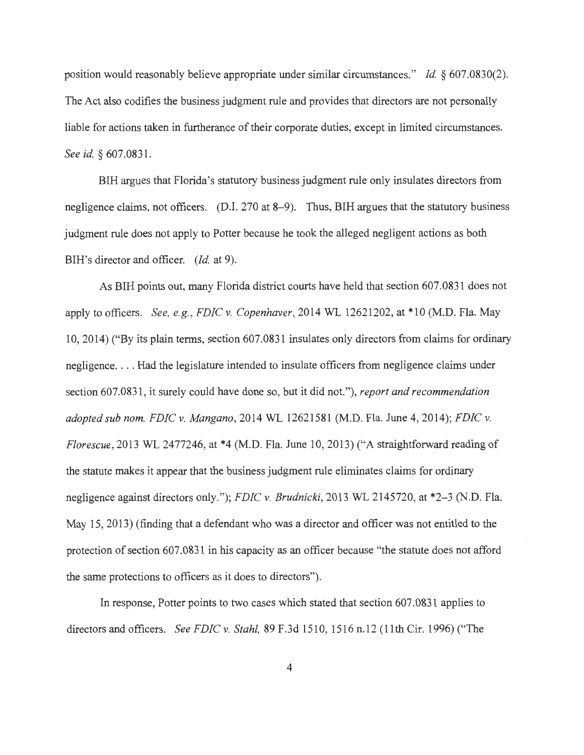position would reasonably believe appropriate under similar circumstances." *Id.* § 607.0830(2). The Act also codifies the business judgment rule and provides that directors are not personally liable for actions taken in furtherance of their corporate duties, except in limited circumstances. *See id.* § 607.0831.

BIH argues that Florida's statutory business judgment rule only insulates directors from negligence claims, not officers. (D.I. 270 at 8–9). Thus, BIH argues that the statutory business judgment rule does not apply to Potter because he took the alleged negligent actions as both BIH's director and officer. *(Id.* at 9).

As BIH points out, many Florida district courts have held that section 607. 0831 does not apply to officers. *See, e.g. , FDIC v. Copenhaver,* 2014 WL 12621202, at \*10 (M.D. Fla. May 10, 2014) ("By its plain terms, section 607.0831 insulates only directors from claims for ordinary negligence .... Had the legislature intended to insulate officers from negligence claims under section 607.0831 , it surely could have done so, but it did not."), *report and recommendation adopted sub nom. FDIC v. Mangano,* 2014 WL 12621581 (M.D. Fla. June 4, 2014); *FDIC v. Florescue*, 2013 WL 2477246, at \*4 (M.D. Fla. June 10, 2013) ("A straightforward reading of the statute makes it appear that the business judgment rule eliminates claims for ordinary negligence against directors only."); *FDIC v. Brudnicki,* 2013 WL 2145720, at \*2-3 (N.D. Fla. May 15, 2013) (finding that a defendant who was a director and officer was not entitled to the protection of section 607.0831 in his capacity as an officer because "the statute does not afford the same protections to officers as it does to directors").

In response, Potter points to two cases which stated that section 607.0831 applies to directors and officers. *See FDIC v. Stahl,* 89 F.3d 1510, 1516 n.12 (11th Cir. 1996) ("The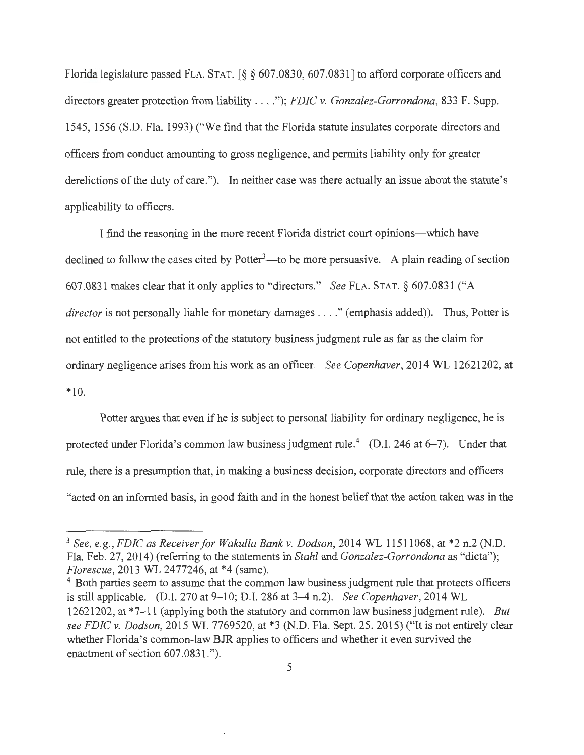Florida legislature passed FLA. STAT. [§ § 607.0830, 607.0831] to afford corporate officers and directors greater protection from liability .... "); *FDIC v. Gonzalez-Gorrondona,* 833 F. Supp. 1545, 1556 (S.D. Fla. 1993) ("We find that the Florida statute insulates corporate directors and officers from conduct amounting to gross negligence, and permits liability only for greater derelictions of the duty of care."). In neither case was there actually an issue about the statute's applicability to officers.

I find the reasoning in the more recent Florida district court opinions—which have declined to follow the cases cited by Potter<sup>3</sup>—to be more persuasive. A plain reading of section 607.0831 makes clear that it only applies to "directors." *See* FLA. STAT. § 607.0831 ("A *director* is not personally liable for monetary damages . . . ." (emphasis added)). Thus, Potter is not entitled to the protections of the statutory business judgment rule as far as the claim for ordinary negligence arises from his work as an officer. *See Copenhaver*, 2014 WL 12621202, at \*10.

Potter argues that even if he is subject to personal liability for ordinary negligence, he is protected under Florida's common law business judgment rule.<sup>4</sup> (D.I. 246 at  $6-7$ ). Under that rule, there is a presumption that, in making a business decision, corporate directors and officers "acted on an informed basis, in good faith and in the honest belief that the action taken was in the

<sup>3</sup>*See, e.g. , FDIC as Receiver for Wakulla Bankv. Dodson,* 2014 WL 11511068, at \*2 n.2 (N.D. Fla. Feb. 27, 2014) (referring to the statements in *Stahl* and *Gonzalez-Gorrondona* as "dicta"); *Florescue*, 2013 WL 2477246, at \*4 (same).<br><sup>4</sup> Both parties seem to assume that the common law business judgment rule that protects officers

is still applicable. (D.I. 270 at 9-10; D.I. 286 at 3-4 n.2). *See Copenhaver,* 2014 WL 12621202, at \*7-11 (applying both the statutory and common law business judgment rule). *But see FDIC v. Dodson,* 2015 WL 7769520, at \*3 (N.D. Fla. Sept. 25, 2015) ("It is not entirely clear whether Florida's common-law BJR applies to officers and whether it even survived the enactment of section 607 .0831.").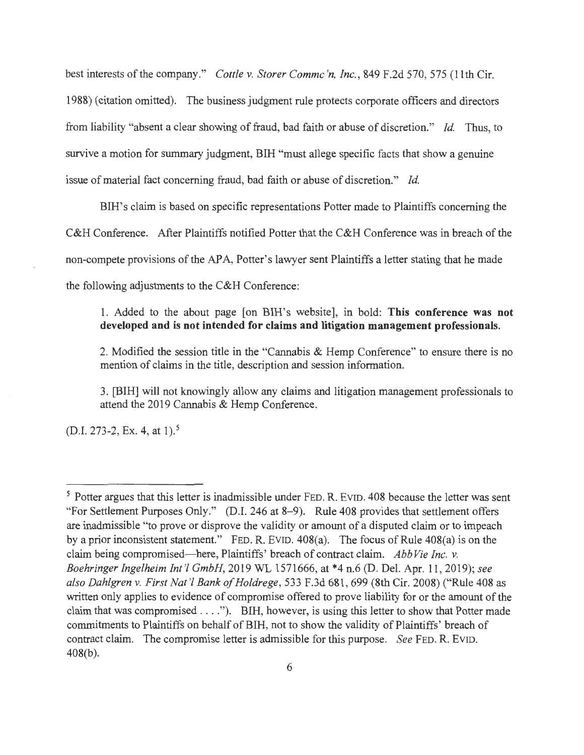best interests of the company." *Cottle v. Storer Commc 'n, Inc. ,* 849 F.2d 570, 575 (11th Cir. 1988) ( citation omitted). The business judgment rule protects corporate officers and directors from liability "absent a clear showing of fraud, bad faith or abuse of discretion." *Id.* Thus, to survive a motion for summary judgment, BIH "must allege specific facts that show a genuine issue of material fact concerning fraud, bad faith or abuse of discretion." *Id.* 

BIH's claim is based on specific representations Potter made to Plaintiffs concerning the C&H Conference. After Plaintiffs notified Potter that the C&H Conference was in breach of the non-compete provisions of the APA, Potter's lawyer sent Plaintiffs a letter stating that he made the following adjustments to the C&H Conference:

# 1. Added to the about page [on BIH's website], in bold: **This conference was not developed and is not intended for claims and litigation management professionals.**

2. Modified the session title in the "Cannabis & Hemp Conference" to ensure there is no mention of claims in the title, description and session information.

3. [BIH] will not knowingly allow any claims and litigation management professionals to attend the 2019 Cannabis & Hemp Conference.

 $(D.I. 273-2, Ex. 4, at 1).<sup>5</sup>$ 

<sup>&</sup>lt;sup>5</sup> Potter argues that this letter is inadmissible under FED. R. EVID. 408 because the letter was sent "For Settlement Purposes Only." (D.I. 246 at 8-9). Rule 408 provides that settlement offers are inadmissible "to prove or disprove the validity or amount of a disputed claim or to impeach by a prior inconsistent statement." FED. R. EVID.  $408(a)$ . The focus of Rule  $408(a)$  is on the claim being compromised-here, Plaintiffs' breach of contract claim. *Abb Vie Inc. v. Boehringer Ingelheim Int 'l GmbH,* 2019 WL 1571666, at \*4 n.6 (D. Del. Apr. 11 , 2019); *see also Dahlgren* v. *First Nat '! Banko/Holdrege,* 533 F.3d 681,699 (8th Cir. 2008) ("Rule 408 as written only applies to evidence of compromise offered to prove liability for or the amount of the claim that was compromised .... "). BIH, however, is using this letter to show that Potter made commitments to Plaintiffs on behalf of BIH, not to show the validity of Plaintiffs' breach of contract claim. The compromise letter is admissible for this purpose. *See FED. R. EVID.* 408(b).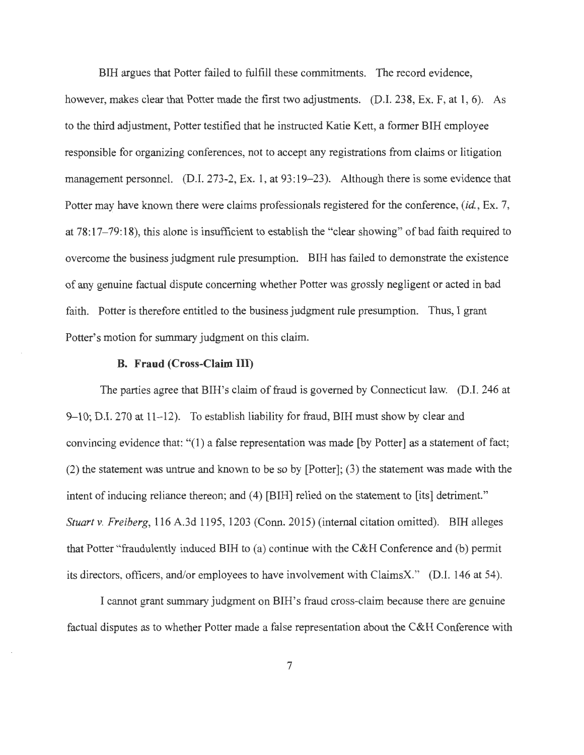BIH argues that Potter failed to fulfill these commitments. The record evidence, however, makes clear that Potter made the first two adjustments. (D.I. 238, Ex. F, at 1, 6). As to the third adjustment, Potter testified that he instructed Katie Kett, a former BIH employee responsible for organizing conferences, not to accept any registrations from claims or litigation management personnel. (D.I. 273-2, Ex. 1, at 93:19–23). Although there is some evidence that Potter may have known there were claims professionals registered for the conference, *(id. ,* Ex. 7, at 78: 17-79: 18), this alone is insufficient to establish the "clear showing" of bad faith required to overcome the business judgment rule presumption. BIH has failed to demonstrate the existence of any genuine factual dispute concerning whether Potter was grossly negligent or acted in bad faith. Potter is therefore entitled to the business judgment rule presumption. Thus, I grant Potter's motion for summary judgment on this claim.

#### **B. Fraud (Cross-Claim** III)

The parties agree that BIH's claim of fraud is governed by Connecticut law. (D.I. 246 at 9-10; D.I. 270 at 11-12). To establish liability for fraud, BIH must show by clear and convincing evidence that: "(1) a false representation was made (by Potter] as a statement of fact; (2) the statement was untrue and known to be so by [Potter]; (3) the statement was made with the intent of inducing reliance thereon; and (4) [BIH] relied on the statement to [its] detriment." *Stuart v. Freiberg,* 116 A.3d 1195, 1203 (Conn. 2015) (internal citation omitted). BIH alleges that Potter "fraudulently induced BIH to (a) continue with the C&H Conference and (b) permit its directors, officers, and/or employees to have involvement with ClaimsX." (D.I. 146 at 54).

I cannot grant summary judgment on BIH's fraud cross-claim because there are genuine factual disputes as to whether Potter made a false representation about the C&H Conference with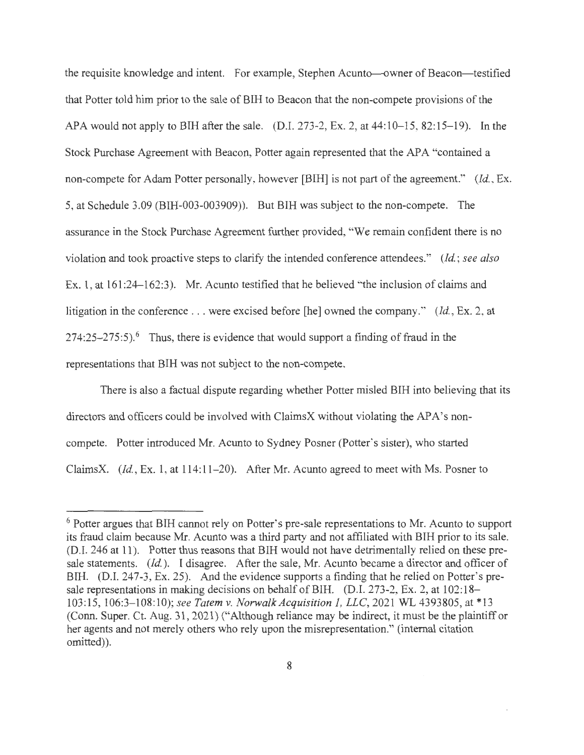the requisite knowledge and intent. For example, Stephen Acunto—owner of Beacon—testified that Potter told him prior to the sale of BIR to Beacon that the non-compete provisions of the APA would not apply to BIH after the sale. (D.I. 273-2, Ex. 2, at  $44:10-15$ ,  $82:15-19$ ). In the Stock Purchase Agreement with Beacon, Potter again represented that the APA "contained a non-compete for Adam Potter personally, however [BIH] is not part of the agreement." *(Id., Ex.* 5, at Schedule 3.09 (BIR-003-003909)). But BIR was subject to the non-compete. The assurance in the Stock Purchase Agreement further provided, "We remain confident there is no violation and took proactive steps to clarify the intended conference attendees." *(Id.; see also*  Ex. 1, at 161:24-162:3). Mr. Acunto testified that he believed "the inclusion of claims and litigation in the conference ... were excised before [he] owned the company." *(Id.,* Ex. 2, at  $274:25-275:5$ .<sup>6</sup> Thus, there is evidence that would support a finding of fraud in the representations that BIR was not subject to the non-compete.

There is also a factual dispute regarding whether Potter misled BIR into believing that its directors and officers could be involved with ClaimsX without violating the APA's noncompete. Potter introduced Mr. Acunto to Sydney Posner (Potter's sister), who started ClaimsX. *(Id. ,* Ex. 1, at 114:11-20). After Mr. Acunto agreed to meet with Ms. Posner to

<sup>&</sup>lt;sup>6</sup> Potter argues that BIH cannot rely on Potter's pre-sale representations to Mr. Acunto to support its fraud claim because Mr. Acunto was a third party and not affiliated with BIR prior to its sale. (D.I. 246 at 11). Potter thus reasons that BIR would not have detrimentally relied on these presale statements. *(Id.).* I disagree. After the sale, Mr. Acunto became a director and officer of BIH. (D.I. 247-3, Ex. 25). And the evidence supports a finding that he relied on Potter's presale representations in making decisions on behalf of BIR. (D.I. 273-2, Ex. 2, at 102:18- 103:15, 106:3- 108:10); *see Tatem v. Norwalk Acquisition 1, LLC,* 2021 WL 4393805, at \*13 (Conn. Super. Ct. Aug. 31, 2021) ("Although reliance may be indirect, it must be the plaintiff or her agents and not merely others who rely upon the misrepresentation." (internal citation omitted)).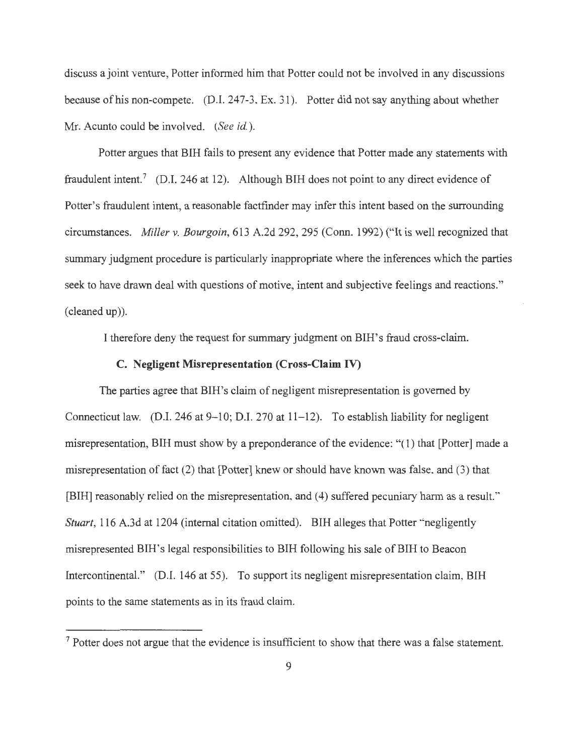discuss a joint venture, Potter informed him that Potter could not be involved in any discussions because of his non-compete. (D.I. 247-3, Ex. 31 ). Potter did not say anything about whether Mr. Acunto could be involved. *(See* id. ).

Potter argues that BIH fails to present any evidence that Potter made any statements with fraudulent intent.<sup>7</sup> (D.I. 246 at 12). Although BIH does not point to any direct evidence of Potter's fraudulent intent, a reasonable factfinder may infer this intent based on the surrounding circumstances. *Miller v. Bourgoin,* 613 A.2d 292,295 (Conn. 1992) ("It is well recognized that summary judgment procedure is particularly inappropriate where the inferences which the parties seek to have drawn deal with questions of motive, intent and subjective feelings and reactions." (cleaned up)).

I therefore deny the request for summary judgment on BIH's fraud cross-claim.

### **C. Negligent Misrepresentation (Cross-Claim IV)**

The parties agree that BIH's claim of negligent misrepresentation is governed by Connecticut law. (D.I. 246 at 9-10; D.I. 270 at 11-12). To establish liability for negligent misrepresentation, BIH must show by a preponderance of the evidence: "( 1) that [Potter] made a misrepresentation of fact (2) that [Potter] knew or should have known was false, and (3) that [BIH] reasonably relied on the misrepresentation, and (4) suffered pecuniary harm as a result." *Stuart*, 116 A.3d at 1204 (internal citation omitted). BIH alleges that Potter "negligently misrepresented BIH's legal responsibilities to BIH following his sale of BIH to Beacon Intercontinental." (D.I. 146 at 55). To support its negligent misrepresentation claim, BIH points to the same statements as in its fraud claim.

<sup>7</sup> Potter does not argue that the evidence is insufficient to show that there was a false statement.